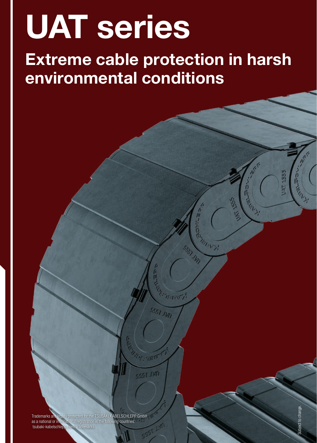## UAT series

Extreme cable protection in harsh environmental conditions

**Trademarks are legally protected for the TSUBAKI KABELSCHLEPP GmbH**<br>as a national or international registration in the following countries: assesses and the following countries: tsubaki-kabelschle

ESST Ò PARK ASSESS

SS.

**MELLEY!** 

SSS AVI

SSGT TVD

KIT . TEF

**GGGT JWN** 

そろ

Artists R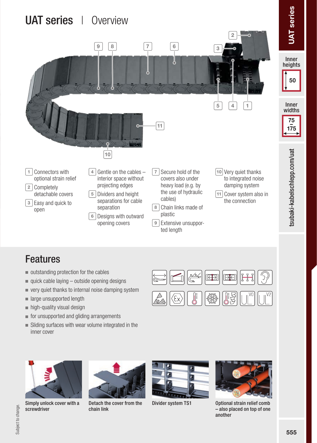

## Features

- outstanding protection for the cables
- quick cable laying  $-$  outside opening designs
- very quiet thanks to internal noise damping system
- **large unsupported length**
- high-quality visual design
- $\blacksquare$  for unsupported and gliding arrangements
- Sliding surfaces with wear volume integrated in the inner cover





Detach the cover from the chain link





Optional strain relief comb – also placed on top of one another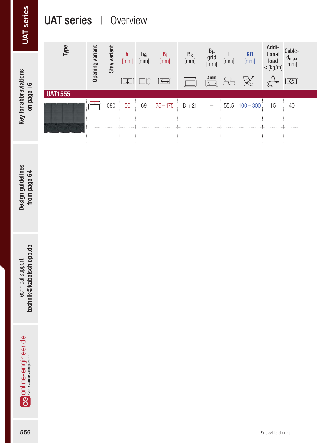## UAT series | Overview

| UAT series                                           | <b>UAT series</b> |                                 | Overview                                                                                       |                                                                             |                                                                  |                                                                                                                                                                                           |                                                                          |                                                                                                                   |  |
|------------------------------------------------------|-------------------|---------------------------------|------------------------------------------------------------------------------------------------|-----------------------------------------------------------------------------|------------------------------------------------------------------|-------------------------------------------------------------------------------------------------------------------------------------------------------------------------------------------|--------------------------------------------------------------------------|-------------------------------------------------------------------------------------------------------------------|--|
|                                                      | Type              | Stay variant<br>Opening variant | $\begin{array}{cc} h_i & h_G \\ \text{[mm]} & \text{[mm]} \end{array}$<br>$\boxed{\mathbb{Z}}$ | $\begin{array}{c} B_i \\ \text{[mm]} \end{array}$<br>$\boxed{\boxed{\Box}}$ | $\begin{array}{c} B_k \\ \text{[mm]} \end{array}$<br>$\boxed{=}$ | $\begin{array}{c} B_i. \\ grid \\ [mm] \texttt{mm} \end{array}$<br>$\underset{[mm]}{\text{t}}$<br>$\underbrace{\overbrace{\leftarrow{\text{K mm}}}}$<br>$\overleftrightarrow{\hbox{min}}$ | Additional<br>load<br>$\leq$ [kg/m]<br>KR<br>$\bigoplus_{\infty}^n$<br>义 | $\begin{array}{c} \text{Cable-} \\ \text{d}_{\text{max}} \\ \text{[mm]} \end{array}$<br>$\boxed{\textcircled{2}}$ |  |
| Key for abbreviations<br>on page 16                  | <b>UAT1555</b>    | $\overline{\Box}$<br>080        | 50<br>69                                                                                       | $75 - 175$                                                                  | $B_i + 21$                                                       | $55.5$ 100 - 300<br>$\overline{\phantom{a}}$                                                                                                                                              | 15                                                                       | $40\,$                                                                                                            |  |
| Design guidelines<br>from page 64                    |                   |                                 |                                                                                                |                                                                             |                                                                  |                                                                                                                                                                                           |                                                                          |                                                                                                                   |  |
| Technical support:<br><b>technik@kabelschlepp.de</b> |                   |                                 |                                                                                                |                                                                             |                                                                  |                                                                                                                                                                                           |                                                                          |                                                                                                                   |  |
| <b>OG</b> online-engineer.de                         |                   |                                 |                                                                                                |                                                                             |                                                                  |                                                                                                                                                                                           |                                                                          |                                                                                                                   |  |
| 556                                                  |                   |                                 |                                                                                                |                                                                             |                                                                  |                                                                                                                                                                                           | Subject to change.                                                       |                                                                                                                   |  |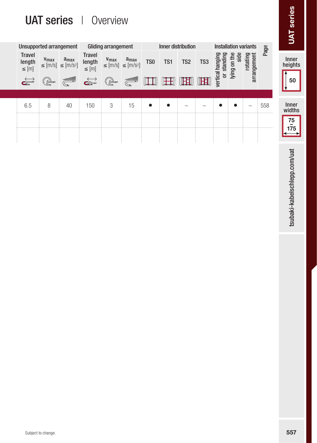## UAT series | Overview

|                                       |                                             |                                                      | <b>UAT series</b>   Overview          |                                                                                                                                                                                                                                                                                                                                               |                |                 |                    |                 |                 |                              |                      |                              |         | series<br><b>IXL</b> |
|---------------------------------------|---------------------------------------------|------------------------------------------------------|---------------------------------------|-----------------------------------------------------------------------------------------------------------------------------------------------------------------------------------------------------------------------------------------------------------------------------------------------------------------------------------------------|----------------|-----------------|--------------------|-----------------|-----------------|------------------------------|----------------------|------------------------------|---------|----------------------|
|                                       |                                             | Unsupported arrangement                              |                                       | <b>Gliding arrangement</b>                                                                                                                                                                                                                                                                                                                    |                |                 | Inner distribution |                 |                 |                              |                      | <b>Installation variants</b> | Page    |                      |
| <b>Travel</b><br>length<br>$\leq$ [m] | $V_{\text{max}}$                            | $a_{max}$<br>$\leq$ [m/s] $\leq$ [m/s <sup>2</sup> ] | <b>Travel</b><br>length<br>$\leq$ [m] | $V_{\text{max}}$<br>$\leq$ [m/s] $\leq$ [m/s <sup>2</sup> ]                                                                                                                                                                                                                                                                                   | $a_{max}$      | TS <sub>0</sub> | TS <sub>1</sub>    | TS <sub>2</sub> | TS <sub>3</sub> | vertical hanging<br>standing | side<br>lying on the | arrangement<br>rotating      |         | Inner<br>heights     |
| $\overrightarrow{c}$                  | $\begin{pmatrix} 1 \\ 1 \\ 1 \end{pmatrix}$ | <b>Superior Contract</b>                             | $\overrightarrow{\mathbf{c}}$         | $\begin{picture}(20,20) \put(0,0){\line(1,0){155}} \put(15,0){\line(1,0){155}} \put(15,0){\line(1,0){155}} \put(15,0){\line(1,0){155}} \put(15,0){\line(1,0){155}} \put(15,0){\line(1,0){155}} \put(15,0){\line(1,0){155}} \put(15,0){\line(1,0){155}} \put(15,0){\line(1,0){155}} \put(15,0){\line(1,0){155}} \put(15,0){\line(1,0){155}} \$ | <b>General</b> | $\mathbb{H}$    | 田                  | <b>THE SET</b>  | <b>TEEN</b>     | $\overline{a}$               |                      |                              |         | 50                   |
|                                       |                                             |                                                      |                                       |                                                                                                                                                                                                                                                                                                                                               |                |                 |                    |                 |                 |                              |                      |                              |         |                      |
| 6.5                                   | 8                                           | 40                                                   | 150                                   | 3                                                                                                                                                                                                                                                                                                                                             | 15             |                 |                    |                 |                 |                              |                      | -                            | 558<br> | Inner<br>widths      |
|                                       |                                             |                                                      |                                       |                                                                                                                                                                                                                                                                                                                                               |                |                 |                    |                 |                 |                              |                      |                              |         | $\frac{75}{175}$     |
|                                       |                                             |                                                      |                                       |                                                                                                                                                                                                                                                                                                                                               |                |                 |                    |                 |                 |                              |                      |                              |         |                      |

tsubaki-kabelschlepp.com/uat tsubaki-kabelschlepp.com/uat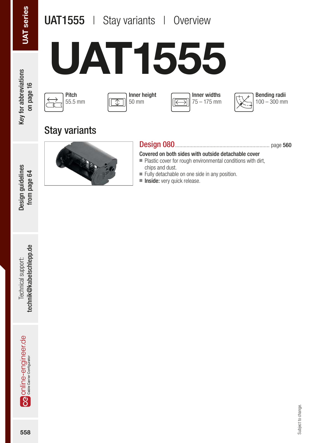## UAT1555 | Stay variants | Overview

Design guidelines from page 64

Design guidelines from page 64

# UAT1555









## Stay variants



#### Design 080.................................................................. page 560

Covered on both sides with outside detachable cover

- Plastic cover for rough environmental conditions with dirt, chips and dust.
- Fully detachable on one side in any position.
- Inside: very quick release.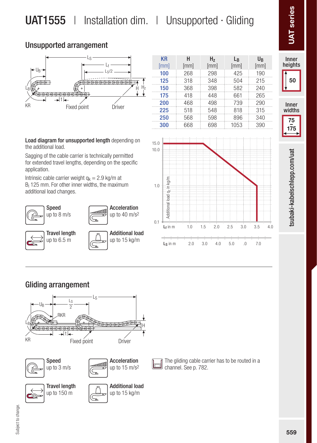## UAT1555 | Installation dim. | Unsupported · Gliding

#### Unsupported arrangement



Load diagram for unsupported length depending on the additional load.

Sagging of the cable carrier is technically permitted for extended travel lengths, depending on the specific application.

Intrinsic cable carrier weight  $q_k = 2.9$  kg/m at Bi 125 mm. For other inner widths, the maximum additional load changes.











subaki-kabelschlepp.com/uat 559tsubaki-kabelschlepp.com/uat

#### Gliding arrangement

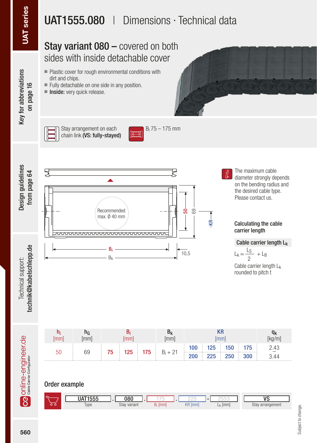## UAT1555.080 | Dimensions · Technical data

## Stay variant 080 – covered on both sides with inside detachable cover

- Plastic cover for rough environmental conditions with dirt and chips.
- Fully detachable on one side in any position.
- Inside: very quick release.



Key for abbreviations Key for abbreviations on page 16



Stay arrangement on each chain link (VS: fully-stayed)





The maximum cable diameter strongly depends on the bending radius and the desired cable type. Please contact us.

## Calculating the cable

Cable carrier length  $L_k$  $L_k \approx \frac{L_S}{2} + L_B$ 2

Cable carrier length L<sub>k</sub> rounded to pitch t

| 50<br> | 69 | 75 |  | 125 175 | $B_i + 21$ | $100 \pm 125 \pm 150 \pm 175$<br>200 225 250 3 |  | 300 | 2.43<br>3.44 |
|--------|----|----|--|---------|------------|------------------------------------------------|--|-----|--------------|

Order example

| $\epsilon$ | <b>UAT1555</b> | 080          |             |                          |              | $\overline{\phantom{a}}$ |
|------------|----------------|--------------|-------------|--------------------------|--------------|--------------------------|
|            | men.<br>Type   | Stay variant | $\sqrt{mm}$ | <b>I/D</b><br>[mm]<br>NΗ | [mm]<br>$-K$ | Stay arrangement         |

**OG** Online-engineer de

Technical support: technik@kabelschlepp.de

technik@kabelschlepp.de Technical support:

Design guidelines from page 64

from page 64

Design guidelines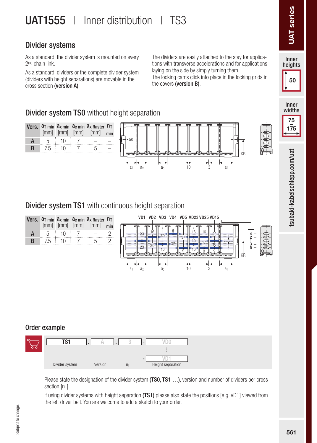## UAT1555 | Inner distribution | TS3

### Divider systems

As a standard, the divider system is mounted on every 2nd chain link.

As a standard, dividers or the complete divider system (dividers with height separations) are movable in the cross section (version A).

The dividers are easily attached to the stay for applications with transverse accelerations and for applications laying on the side by simply turning them.

The locking cams click into place in the locking grids in the covers (version B).



Inner<br>widths

75 – 175

subaki-kabelschlepp.com/uat

### **Divider system TS0** without height separation

|      |    | $[mm]$ $[mm]$ | Vers. at min ax min ac min ax Raster nt<br>$\lceil \text{mm} \rceil$ | min |                               |
|------|----|---------------|----------------------------------------------------------------------|-----|-------------------------------|
| $-5$ | 10 |               |                                                                      |     |                               |
|      |    |               |                                                                      |     | ΚR<br><del>,,,,,,,,,,,,</del> |

#### **Divider system TS1** with continuous height separation



#### Order example



Please state the designation of the divider system (TS0, TS1 ...), version and number of dividers per cross section [n<sub>T</sub>].

If using divider systems with height separation (TS1) please also state the positions [e.g. VD1] viewed from the left driver belt. You are welcome to add a sketch to your order.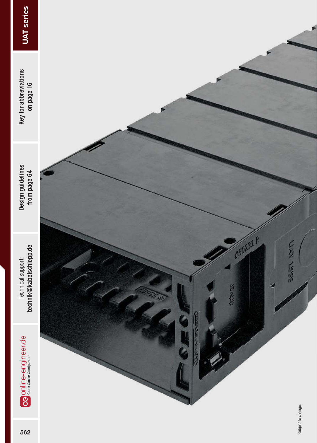